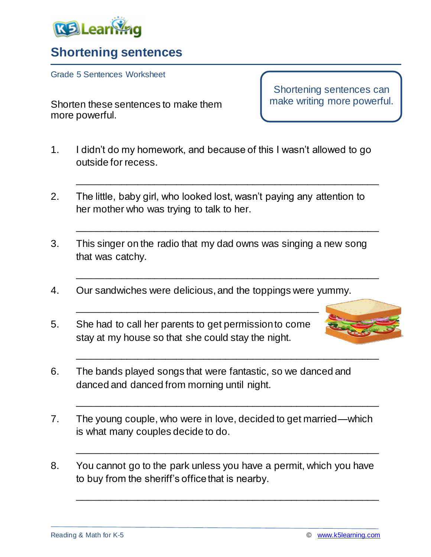

## **Shortening sentences**

Grade 5 Sentences Worksheet

Shorten these sentences to make them more powerful.

Shortening sentences can make writing more powerful.

1. I didn't do my homework, and because of this I wasn't allowed to go outside for recess.

\_\_\_\_\_\_\_\_\_\_\_\_\_\_\_\_\_\_\_\_\_\_\_\_\_\_\_\_\_\_\_\_\_\_\_\_\_\_\_\_\_\_\_\_\_\_\_\_\_\_\_\_\_\_\_

\_\_\_\_\_\_\_\_\_\_\_\_\_\_\_\_\_\_\_\_\_\_\_\_\_\_\_\_\_\_\_\_\_\_\_\_\_\_\_\_\_\_\_\_\_\_\_\_\_\_\_\_\_\_\_

\_\_\_\_\_\_\_\_\_\_\_\_\_\_\_\_\_\_\_\_\_\_\_\_\_\_\_\_\_\_\_\_\_\_\_\_\_\_\_\_\_\_\_\_\_\_\_\_\_\_\_\_\_\_\_

\_\_\_\_\_\_\_\_\_\_\_\_\_\_\_\_\_\_\_\_\_\_\_\_\_\_\_\_\_\_\_\_\_\_\_\_\_\_\_\_\_\_\_\_\_\_\_\_\_\_\_\_\_\_\_

\_\_\_\_\_\_\_\_\_\_\_\_\_\_\_\_\_\_\_\_\_\_\_\_\_\_\_\_\_\_\_\_\_\_\_\_\_\_\_\_\_\_\_\_\_\_\_\_\_\_\_\_\_\_\_

\_\_\_\_\_\_\_\_\_\_\_\_\_\_\_\_\_\_\_\_\_\_\_\_\_\_\_\_\_\_\_\_\_\_\_\_\_\_\_\_\_\_\_\_\_\_\_\_\_\_\_\_\_\_\_

\_\_\_\_\_\_\_\_\_\_\_\_\_\_\_\_\_\_\_\_\_\_\_\_\_\_\_\_\_\_\_\_\_\_\_\_\_\_\_\_\_\_\_\_\_\_\_\_\_\_\_\_\_\_\_

- 2. The little, baby girl, who looked lost, wasn't paying any attention to her mother who was trying to talk to her.
- 3. This singer on the radio that my dad owns was singing a new song that was catchy.
- 4. Our sandwiches were delicious, and the toppings were yummy.

\_\_\_\_\_\_\_\_\_\_\_\_\_\_\_\_\_\_\_\_\_\_\_\_\_\_\_\_\_\_\_\_\_\_\_\_\_\_\_\_\_\_\_\_

5. She had to call her parents to get permission to come stay at my house so that she could stay the night.



- 6. The bands played songs that were fantastic, so we danced and danced and danced from morning until night.
- 7. The young couple, who were in love, decided to get married—which is what many couples decide to do.
- 8. You cannot go to the park unless you have a permit, which you have to buy from the sheriff's office that is nearby.